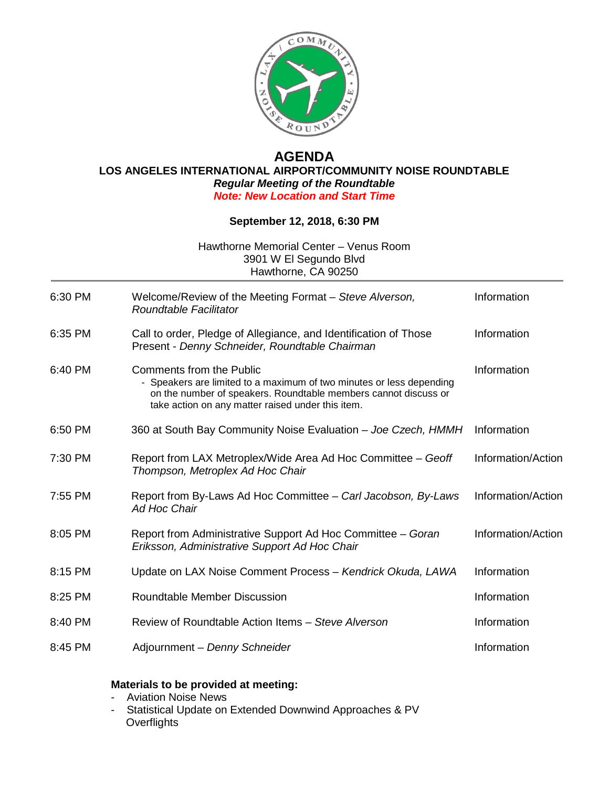

## **AGENDA LOS ANGELES INTERNATIONAL AIRPORT/COMMUNITY NOISE ROUNDTABLE** *Regular Meeting of the Roundtable Note: New Location and Start Time*

## **September 12, 2018, 6:30 PM**

Hawthorne Memorial Center – Venus Room 3901 W El Segundo Blvd Hawthorne, CA 90250

| 6:30 PM | Welcome/Review of the Meeting Format – Steve Alverson,<br>Roundtable Facilitator                                                                                                                                                | Information        |
|---------|---------------------------------------------------------------------------------------------------------------------------------------------------------------------------------------------------------------------------------|--------------------|
| 6:35 PM | Call to order, Pledge of Allegiance, and Identification of Those<br>Present - Denny Schneider, Roundtable Chairman                                                                                                              | Information        |
| 6:40 PM | <b>Comments from the Public</b><br>- Speakers are limited to a maximum of two minutes or less depending<br>on the number of speakers. Roundtable members cannot discuss or<br>take action on any matter raised under this item. | Information        |
| 6:50 PM | 360 at South Bay Community Noise Evaluation - Joe Czech, HMMH                                                                                                                                                                   | Information        |
| 7:30 PM | Report from LAX Metroplex/Wide Area Ad Hoc Committee - Geoff<br>Thompson, Metroplex Ad Hoc Chair                                                                                                                                | Information/Action |
| 7:55 PM | Report from By-Laws Ad Hoc Committee - Carl Jacobson, By-Laws<br>Ad Hoc Chair                                                                                                                                                   | Information/Action |
| 8:05 PM | Report from Administrative Support Ad Hoc Committee - Goran<br>Eriksson, Administrative Support Ad Hoc Chair                                                                                                                    | Information/Action |
| 8:15 PM | Update on LAX Noise Comment Process - Kendrick Okuda, LAWA                                                                                                                                                                      | Information        |
| 8:25 PM | <b>Roundtable Member Discussion</b>                                                                                                                                                                                             | Information        |
| 8:40 PM | Review of Roundtable Action Items - Steve Alverson                                                                                                                                                                              | Information        |
| 8:45 PM | Adjournment - Denny Schneider                                                                                                                                                                                                   | Information        |

## **Materials to be provided at meeting:**

- Aviation Noise News
- Statistical Update on Extended Downwind Approaches & PV **Overflights**